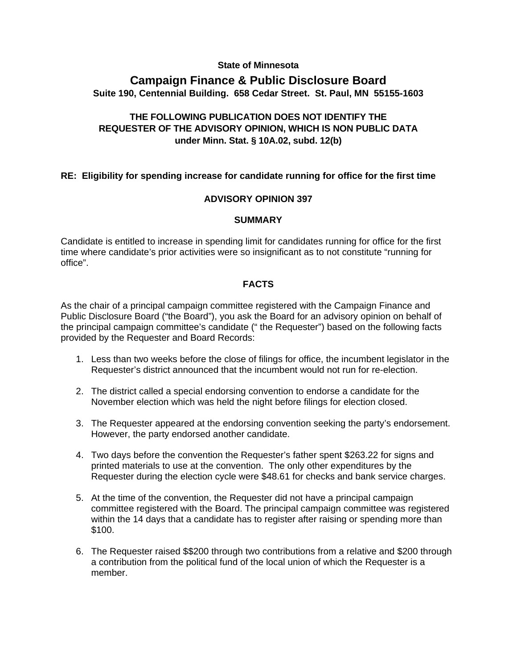### **State of Minnesota**

# **Campaign Finance & Public Disclosure Board Suite 190, Centennial Building. 658 Cedar Street. St. Paul, MN 55155-1603**

## **THE FOLLOWING PUBLICATION DOES NOT IDENTIFY THE REQUESTER OF THE ADVISORY OPINION, WHICH IS NON PUBLIC DATA under Minn. Stat. § 10A.02, subd. 12(b)**

### **RE: Eligibility for spending increase for candidate running for office for the first time**

### **ADVISORY OPINION 397**

#### **SUMMARY**

Candidate is entitled to increase in spending limit for candidates running for office for the first time where candidate's prior activities were so insignificant as to not constitute "running for office".

### **FACTS**

As the chair of a principal campaign committee registered with the Campaign Finance and Public Disclosure Board ("the Board"), you ask the Board for an advisory opinion on behalf of the principal campaign committee's candidate (" the Requester") based on the following facts provided by the Requester and Board Records:

- 1. Less than two weeks before the close of filings for office, the incumbent legislator in the Requester's district announced that the incumbent would not run for re-election.
- 2. The district called a special endorsing convention to endorse a candidate for the November election which was held the night before filings for election closed.
- 3. The Requester appeared at the endorsing convention seeking the party's endorsement. However, the party endorsed another candidate.
- 4. Two days before the convention the Requester's father spent \$263.22 for signs and printed materials to use at the convention. The only other expenditures by the Requester during the election cycle were \$48.61 for checks and bank service charges.
- 5. At the time of the convention, the Requester did not have a principal campaign committee registered with the Board. The principal campaign committee was registered within the 14 days that a candidate has to register after raising or spending more than \$100.
- 6. The Requester raised \$\$200 through two contributions from a relative and \$200 through a contribution from the political fund of the local union of which the Requester is a member.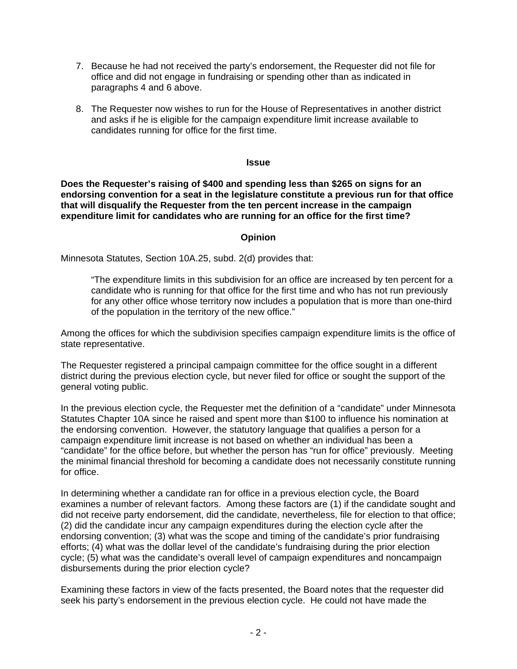- 7. Because he had not received the party's endorsement, the Requester did not file for office and did not engage in fundraising or spending other than as indicated in paragraphs 4 and 6 above.
- 8. The Requester now wishes to run for the House of Representatives in another district and asks if he is eligible for the campaign expenditure limit increase available to candidates running for office for the first time.

#### **Issue**

**Does the Requester's raising of \$400 and spending less than \$265 on signs for an endorsing convention for a seat in the legislature constitute a previous run for that office that will disqualify the Requester from the ten percent increase in the campaign expenditure limit for candidates who are running for an office for the first time?** 

## **Opinion**

Minnesota Statutes, Section 10A.25, subd. 2(d) provides that:

"The expenditure limits in this subdivision for an office are increased by ten percent for a candidate who is running for that office for the first time and who has not run previously for any other office whose territory now includes a population that is more than one-third of the population in the territory of the new office."

Among the offices for which the subdivision specifies campaign expenditure limits is the office of state representative.

The Requester registered a principal campaign committee for the office sought in a different district during the previous election cycle, but never filed for office or sought the support of the general voting public.

In the previous election cycle, the Requester met the definition of a "candidate" under Minnesota Statutes Chapter 10A since he raised and spent more than \$100 to influence his nomination at the endorsing convention. However, the statutory language that qualifies a person for a campaign expenditure limit increase is not based on whether an individual has been a "candidate" for the office before, but whether the person has "run for office" previously. Meeting the minimal financial threshold for becoming a candidate does not necessarily constitute running for office.

In determining whether a candidate ran for office in a previous election cycle, the Board examines a number of relevant factors. Among these factors are (1) if the candidate sought and did not receive party endorsement, did the candidate, nevertheless, file for election to that office; (2) did the candidate incur any campaign expenditures during the election cycle after the endorsing convention; (3) what was the scope and timing of the candidate's prior fundraising efforts; (4) what was the dollar level of the candidate's fundraising during the prior election cycle; (5) what was the candidate's overall level of campaign expenditures and noncampaign disbursements during the prior election cycle?

Examining these factors in view of the facts presented, the Board notes that the requester did seek his party's endorsement in the previous election cycle. He could not have made the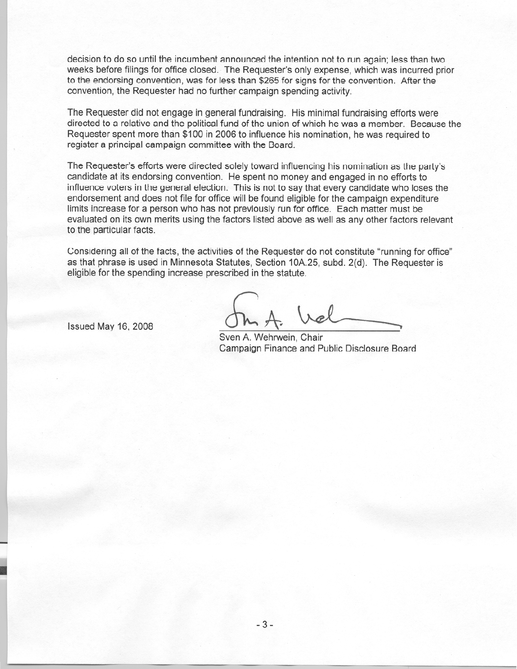decision to do so until the incumbent announced the intention not to run again; less than two weeks before filings for office closed. The Requester's only expense, which was incurred prior to the endorsing convention, was for less than \$265 for signs for the convention. After the convention, the Requester had no further campaign spending activity.

The Requester did not engage in general fundraising. His minimal fundraising efforts were directed to a relative and the political fund of the union of which he was a member. Because the Requester spent more than \$100 in 2006 to influence his nomination, he was required to register a principal campaign committee with the Board.

The Requester's efforts were directed solely toward influencing his nomination as the party's candidate at its endorsing convention. He spent no money and engaged in no efforts to influence voters in the general election. This is not to say that every candidate who loses the endorsement and does not file for office will be found eligible for the campaign expenditure limits increase for a person who has not previously run for office. Each matter must be evaluated on its own merits using the factors listed above as well as any other factors relevant to the particular facts.

Considering all of the facts, the activities of the Requester do not constitute "running for office" as that phrase is used in Minnesota Statutes, Section 10A.25, subd. 2(d). The Requester is eligible for the spending increase prescribed in the statute.

Issued May 16, 2008

Sven A. Wehrwein, Chair Campaign Finance and Public Disclosure Board